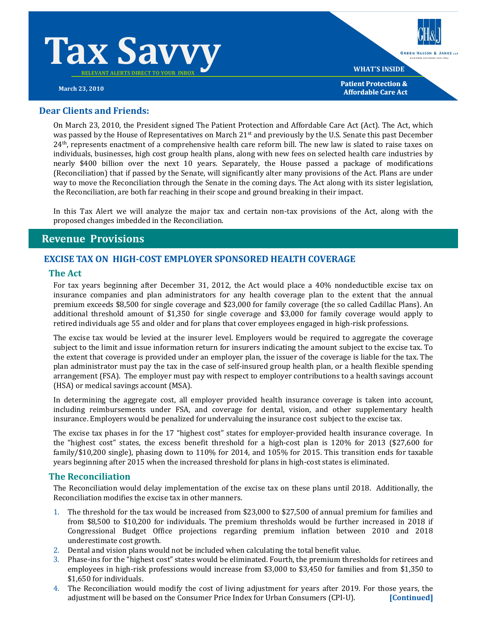



**WHAT'S INSIDE**

**GREEN HASSON & JANKS LLE** 

**Patient Protection & March 23, 2010 Affordable Care Act Actor Affordable** Care **Act Affordable** Care Act

## **Dear Clients and Friends:**

On March 23, 2010, the President signed The Patient Protection and Affordable Care Act (Act). The Act, which was passed by the House of Representatives on March 21<sup>st</sup> and previously by the U.S. Senate this past December 24<sup>th</sup>, represents enactment of a comprehensive health care reform bill. The new law is slated to raise taxes on individuals, businesses, high cost group health plans, along with new fees on selected health care industries by nearly \$400 billion over the next 10 years. Separately, the House passed a package of modifications (Reconciliation) that if passed by the Senate, will significantly alter many provisions of the Act. Plans are under way to move the Reconciliation through the Senate in the coming days. The Act along with its sister legislation, the Reconciliation, are both far reaching in their scope and ground breaking in their impact.

In this Tax Alert we will analyze the major tax and certain non-tax provisions of the Act, along with the proposed changes imbedded in the Reconciliation.

# **Revenue Provisions**

### **EXCISE TAX ON HIGHCOST EMPLOYER SPONSORED HEALTH COVERAGE**

#### **The Act**

For tax years beginning after December 31, 2012, the Act would place a 40% nondeductible excise tax on insurance companies and plan administrators for any health coverage plan to the extent that the annual premium exceeds \$8,500 for single coverage and \$23,000 for family coverage (the so called Cadillac Plans). An additional threshold amount of \$1,350 for single coverage and \$3,000 for family coverage would apply to retired individuals age 55 and older and for plans that cover employees engaged in high-risk professions.

The excise tax would be levied at the insurer level. Employers would be required to aggregate the coverage subject to the limit and issue information return for insurers indicating the amount subject to the excise tax. To the extent that coverage is provided under an employer plan, the issuer of the coverage is liable for the tax. The plan administrator must pay the tax in the case of self‐insured group health plan, or a health flexible spending arrangement (FSA). The employer must pay with respect to employer contributions to a health savings account (HSA) or medical savings account (MSA).

In determining the aggregate cost, all employer provided health insurance coverage is taken into account, including reimbursements under FSA, and coverage for dental, vision, and other supplementary health insurance. Employers would be penalized for undervaluing the insurance cost subject to the excise tax.

The excise tax phases in for the 17 "highest cost" states for employer-provided health insurance coverage. In the "highest cost" states, the excess benefit threshold for a high‐cost plan is 120% for 2013 (\$27,600 for family/\$10,200 single), phasing down to 110% for 2014, and 105% for 2015. This transition ends for taxable years beginning after 2015 when the increased threshold for plans in high‐cost states is eliminated.

#### **The Reconciliation**

The Reconciliation would delay implementation of the excise tax on these plans until 2018. Additionally, the Reconciliation modifies the excise tax in other manners.

- 1. The threshold for the tax would be increased from \$23,000 to \$27,500 of annual premium for families and from \$8,500 to \$10,200 for individuals. The premium thresholds would be further increased in 2018 if Congressional Budget Office projections regarding premium inflation between 2010 and 2018 underestimate cost growth.
- 2. Dental and vision plans would not be included when calculating the total benefit value.
- 3. Phase-ins for the "highest cost" states would be eliminated. Fourth, the premium thresholds for retirees and employees in high-risk professions would increase from \$3,000 to \$3,450 for families and from \$1,350 to \$1,650 for individuals.
- 4. The Reconciliation would modify the cost of living adjustment for years after 2019. For those years, the adjustment will be based on the Consumer Price Index for Urban Consumers (CPI‐U). **[Continued]**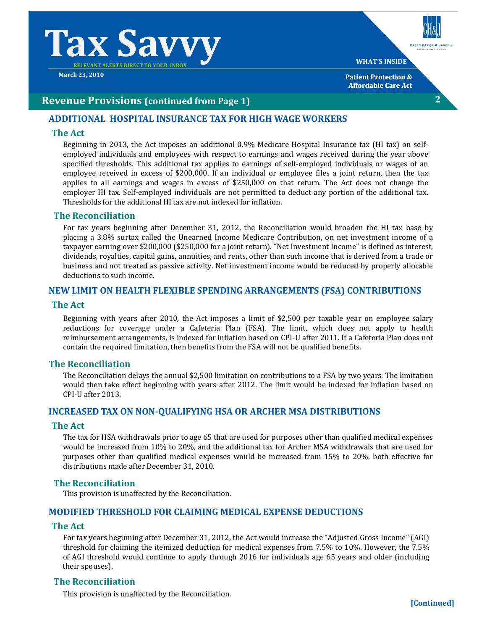# **Tax Savv**

**March 23, 2010**

# **GREEN HASSON & JANKS LL WHAT'S INSIDE Patient Protection &**

**2**

**Affordable Care Act**

# **Revenue Provisions (continued from Page 1)**

# **ADDITIONAL HOSPITAL INSURANCE TAX FOR HIGH WAGE WORKERS**

### **The Act**

Beginning in 2013, the Act imposes an additional 0.9% Medicare Hospital Insurance tax (HI tax) on selfemployed individuals and employees with respect to earnings and wages received during the year above specified thresholds. This additional tax applies to earnings of self-employed individuals or wages of an employee received in excess of \$200,000. If an individual or employee files a joint return, then the tax applies to all earnings and wages in excess of \$250,000 on that return. The Act does not change the employer HI tax. Self-employed individuals are not permitted to deduct any portion of the additional tax. Thresholds for the additional HI tax are not indexed for inflation.

### **The Reconciliation**

For tax years beginning after December 31, 2012, the Reconciliation would broaden the HI tax base by placing a 3.8% surtax called the Unearned Income Medicare Contribution, on net investment income of a taxpayer earning over \$200,000 (\$250,000 for a joint return). "Net Investment Income" is defined as interest, dividends, royalties, capital gains, annuities, and rents, other than such income that is derived from a trade or business and not treated as passive activity. Net investment income would be reduced by properly allocable deductions to such income.

### **NEW LIMIT ON HEALTH FLEXIBLE SPENDING ARRANGEMENTS (FSA) CONTRIBUTIONS**

#### **The Act**

Beginning with years after 2010, the Act imposes a limit of \$2,500 per taxable year on employee salary reductions for coverage under a Cafeteria Plan (FSA). The limit, which does not apply to health reimbursement arrangements, is indexed for inflation based on CPI‐U after 2011. If a Cafeteria Plan does not contain the required limitation, then benefits from the FSA will not be qualified benefits.

# **The Reconciliation**

The Reconciliation delays the annual \$2,500 limitation on contributions to a FSA by two years. The limitation would then take effect beginning with years after 2012. The limit would be indexed for inflation based on CPI‐U after 2013.

#### **INCREASED TAX ON NONQUALIFYING HSA OR ARCHER MSA DISTRIBUTIONS**

#### **The Act**

The tax for HSA withdrawals prior to age 65 that are used for purposes other than qualified medical expenses would be increased from 10% to 20%, and the additional tax for Archer MSA withdrawals that are used for purposes other than qualified medical expenses would be increased from 15% to 20%, both effective for distributions made after December 31, 2010.

#### **The Reconciliation**

This provision is unaffected by the Reconciliation.

## **MODIFIED THRESHOLD FOR CLAIMING MEDICAL EXPENSE DEDUCTIONS**

#### **The Act**

For tax years beginning after December 31, 2012, the Act would increase the "Adjusted Gross Income" (AGI) threshold for claiming the itemized deduction for medical expenses from 7.5% to 10%. However, the 7.5% of AGI threshold would continue to apply through 2016 for individuals age 65 years and older (including their spouses).

# **The Reconciliation**

This provision is unaffected by the Reconciliation.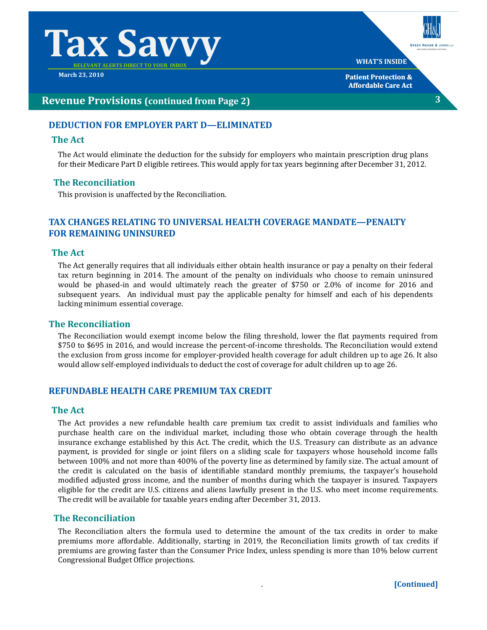# $\Gamma$ ax Savv $\Gamma$

**March 23, 2010**



# **Revenue Provisions (continued from Page 2)**

# **DEDUCTION FOR EMPLOYER PART D—ELIMINATED**

# **The Act**

The Act would eliminate the deduction for the subsidy for employers who maintain prescription drug plans for their Medicare Part D eligible retirees. This would apply for tax years beginning after December 31, 2012.

# **The Reconciliation**

This provision is unaffected by the Reconciliation.

# **TAX CHANGES RELATING TO UNIVERSAL HEALTH COVERAGE MANDATE—PENALTY FOR REMAINING UNINSURED**

### **The Act**

The Act generally requires that all individuals either obtain health insurance or pay a penalty on their federal tax return beginning in 2014. The amount of the penalty on individuals who choose to remain uninsured would be phased‐in and would ultimately reach the greater of \$750 or 2.0% of income for 2016 and subsequent years. An individual must pay the applicable penalty for himself and each of his dependents lacking minimum essential coverage.

# **The**. **Reconciliation**

The Reconciliation would exempt income below the filing threshold, lower the flat payments required from \$750 to \$695 in 2016, and would increase the percent‐of‐income thresholds. The Reconciliation would extend the exclusion from gross income for employer‐provided health coverage for adult children up to age 26. It also would allow self‐employed individuals to deduct the cost of coverage for adult children up to age 26.

# **REFUNDABLE HEALTH CARE PREMIUM TAX CREDIT**

#### **The Act**

The Act provides a new refundable health care premium tax credit to assist individuals and families who purchase health care on the individual market, including those who obtain coverage through the health insurance exchange established by this Act. The credit, which the U.S. Treasury can distribute as an advance payment, is provided for single or joint filers on a sliding scale for taxpayers whose household income falls between 100% and not more than 400% of the poverty line as determined by family size. The actual amount of the credit is calculated on the basis of identifiable standard monthly premiums, the taxpayer's household modified adjusted gross income, and the number of months during which the taxpayer is insured. Taxpayers eligible for the credit are U.S. citizens and aliens lawfully present in the U.S. who meet income requirements. The credit will be available for taxable years ending after December 31, 2013.

# **The Reconciliation**

The Reconciliation alters the formula used to determine the amount of the tax credits in order to make premiums more affordable. Additionally, starting in 2019, the Reconciliation limits growth of tax credits if premiums are growing faster than the Consumer Price Index, unless spending is more than 10% below current Congressional Budget Office projections.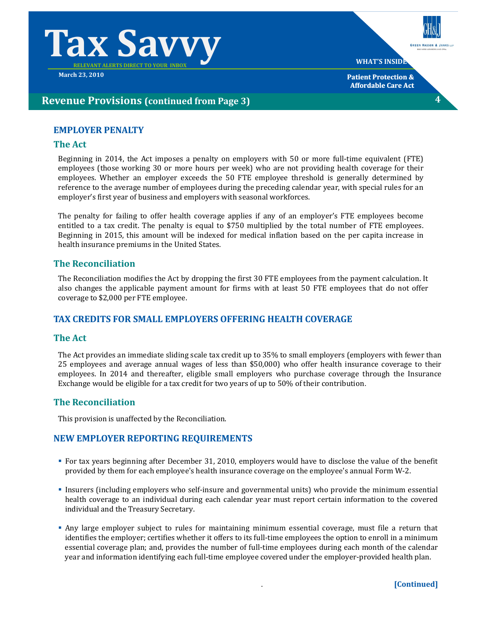

**March 23, 2010**

**GREEN HASSON & JANKS LL WHAT'S INSIDE**

**4**

**Patient Protection & Affordable Care Act**

# **Revenue Provisions (continued from Page 3)**

# **EMPLOYER PENALTY**

# **The Act**

Beginning in 2014, the Act imposes a penalty on employers with 50 or more full‐time equivalent (FTE) employees (those working 30 or more hours per week) who are not providing health coverage for their employees. Whether an employer exceeds the 50 FTE employee threshold is generally determined by reference to the average number of employees during the preceding calendar year, with special rules for an employer's first year of business and employers with seasonal workforces.

The penalty for failing to offer health coverage applies if any of an employer's FTE employees become entitled to a tax credit. The penalty is equal to \$750 multiplied by the total number of FTE employees. Beginning in 2015, this amount will be indexed for medical inflation based on the per capita increase in health insurance premiums in the United States.

# **The Reconciliation**

The Reconciliation modifies the Act by dropping the first 30 FTE employees from the payment calculation. It also changes the applicable payment amount for firms with at least 50 FTE employees that do not offer coverage to \$2,000 per FTE employee.

# **TAX CREDITS FOR SMALL EMPLOYERS OFFERING HEALTH COVERAGE**

# **The Act**

The Act provides an immediate sliding scale tax credit up to 35% to small employers (employers with fewer than 25 employees and average annual wages of less than \$50,000) who offer health insurance coverage to their employees. In 2014 and thereafter, eligible small employers who purchase coverage through the Insurance Exchange would be eligible for a tax credit for two years of up to 50% of their contribution.

# **The Reconciliation**

This provision is unaffected by the Reconciliation.

# **NEW EMPLOYER REPORTING REQUIREMENTS**

- For tax years beginning after December 31, 2010, employers would have to disclose the value of the benefit provided by them for each employee's health insurance coverage on the employee's annual Form W‐2.
- Insurers (including employers who self‐insure and governmental units) who provide the minimum essential health coverage to an individual during each calendar year must report certain information to the covered individual and the Treasury Secretary.
- Any large employer subject to rules for maintaining minimum essential coverage, must file a return that identifies the employer; certifies whether it offers to its full-time employees the option to enroll in a minimum essential coverage plan; and, provides the number of full‐time employees during each month of the calendar year and information identifying each full‐time employee covered under the employer‐provided health plan.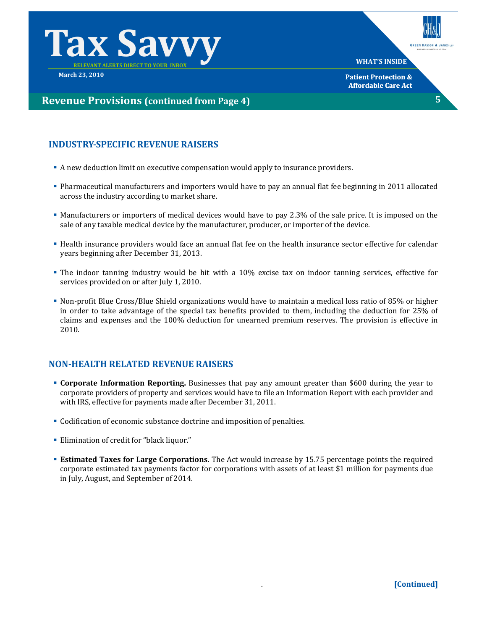



**5**

**WHAT'S INSIDE**

**Patient Protection & Affordable Care Act**

# **Revenue Provisions (continued from Page 4)**

# **INDUSTRYSPECIFIC REVENUE RAISERS**

- A new deduction limit on executive compensation would apply to insurance providers.
- Pharmaceutical manufacturers and importers would have to pay an annual flat fee beginning in 2011 allocated across the industry according to market share.
- Manufacturers or importers of medical devices would have to pay 2.3% of the sale price. It is imposed on the sale of any taxable medical device by the manufacturer, producer, or importer of the device.
- Health insurance providers would face an annual flat fee on the health insurance sector effective for calendar years beginning after December 31, 2013.
- The indoor tanning industry would be hit with a 10% excise tax on indoor tanning services, effective for services provided on or after July 1, 2010.
- Non-profit Blue Cross/Blue Shield organizations would have to maintain a medical loss ratio of 85% or higher in order to take advantage of the special tax benefits provided to them, including the deduction for 25% of claims and expenses and the 100% deduction for unearned premium reserves. The provision is effective in 2010.

# **NONHEALTH RELATED REVENUE RAISERS**

- **Corporate Information Reporting.** Businesses that pay any amount greater than \$600 during the year to corporate providers of property and services would have to file an Information Report with each provider and with IRS, effective for payments made after December 31, 2011.
- Codification of economic substance doctrine and imposition of penalties.
- Elimination of credit for "black liquor."
- **Estimated Taxes for Large Corporations.** The Act would increase by 15.75 percentage points the required corporate estimated tax payments factor for corporations with assets of at least \$1 million for payments due in July, August, and September of 2014.